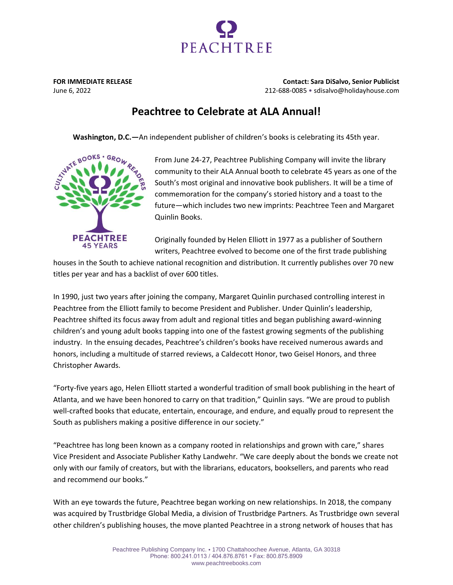

**FOR IMMEDIATE RELEASE Contact: Sara DiSalvo, Senior Publicist** June 6, 2022 212-688-0085 • sdisalvo@holidayhouse.com

## **Peachtree to Celebrate at ALA Annual!**

**Washington, D.C.—**An independent publisher of children's books is celebrating its 45th year.



From June 24-27, Peachtree Publishing Company will invite the library community to their ALA Annual booth to celebrate 45 years as one of the South's most original and innovative book publishers. It will be a time of commemoration for the company's storied history and a toast to the future—which includes two new imprints: Peachtree Teen and Margaret Quinlin Books.

Originally founded by Helen Elliott in 1977 as a publisher of Southern writers, Peachtree evolved to become one of the first trade publishing

houses in the South to achieve national recognition and distribution. It currently publishes over 70 new titles per year and has a backlist of over 600 titles.

In 1990, just two years after joining the company, Margaret Quinlin purchased controlling interest in Peachtree from the Elliott family to become President and Publisher. Under Quinlin's leadership, Peachtree shifted its focus away from adult and regional titles and began publishing award-winning children's and young adult books tapping into one of the fastest growing segments of the publishing industry. In the ensuing decades, Peachtree's children's books have received numerous awards and honors, including a multitude of starred reviews, a Caldecott Honor, two Geisel Honors, and three Christopher Awards.

"Forty-five years ago, Helen Elliott started a wonderful tradition of small book publishing in the heart of Atlanta, and we have been honored to carry on that tradition," Quinlin says. "We are proud to publish well-crafted books that educate, entertain, encourage, and endure, and equally proud to represent the South as publishers making a positive difference in our society."

"Peachtree has long been known as a company rooted in relationships and grown with care," shares Vice President and Associate Publisher Kathy Landwehr. "We care deeply about the bonds we create not only with our family of creators, but with the librarians, educators, booksellers, and parents who read and recommend our books."

With an eye towards the future, Peachtree began working on new relationships. In 2018, the company was acquired by Trustbridge Global Media, a division of Trustbridge Partners. As Trustbridge own several other children's publishing houses, the move planted Peachtree in a strong network of houses that has